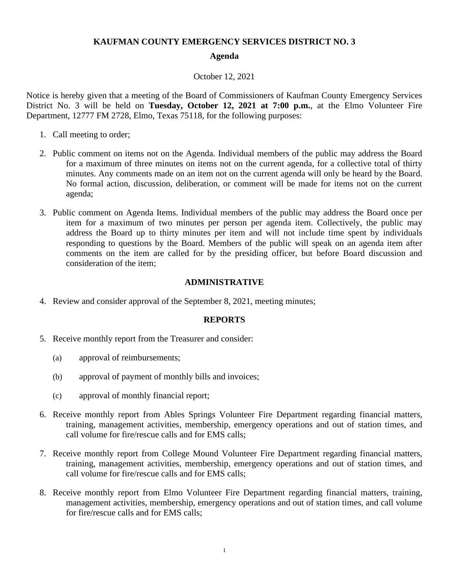## **KAUFMAN COUNTY EMERGENCY SERVICES DISTRICT NO. 3**

#### **Agenda**

#### October 12, 2021

Notice is hereby given that a meeting of the Board of Commissioners of Kaufman County Emergency Services District No. 3 will be held on **Tuesday, October 12, 2021 at 7:00 p.m.**, at the Elmo Volunteer Fire Department, 12777 FM 2728, Elmo, Texas 75118, for the following purposes:

- 1. Call meeting to order;
- 2. Public comment on items not on the Agenda. Individual members of the public may address the Board for a maximum of three minutes on items not on the current agenda, for a collective total of thirty minutes. Any comments made on an item not on the current agenda will only be heard by the Board. No formal action, discussion, deliberation, or comment will be made for items not on the current agenda;
- 3. Public comment on Agenda Items. Individual members of the public may address the Board once per item for a maximum of two minutes per person per agenda item. Collectively, the public may address the Board up to thirty minutes per item and will not include time spent by individuals responding to questions by the Board. Members of the public will speak on an agenda item after comments on the item are called for by the presiding officer, but before Board discussion and consideration of the item;

## **ADMINISTRATIVE**

4. Review and consider approval of the September 8, 2021, meeting minutes;

## **REPORTS**

- 5. Receive monthly report from the Treasurer and consider:
	- (a) approval of reimbursements;
	- (b) approval of payment of monthly bills and invoices;
	- (c) approval of monthly financial report;
- 6. Receive monthly report from Ables Springs Volunteer Fire Department regarding financial matters, training, management activities, membership, emergency operations and out of station times, and call volume for fire/rescue calls and for EMS calls;
- 7. Receive monthly report from College Mound Volunteer Fire Department regarding financial matters, training, management activities, membership, emergency operations and out of station times, and call volume for fire/rescue calls and for EMS calls;
- 8. Receive monthly report from Elmo Volunteer Fire Department regarding financial matters, training, management activities, membership, emergency operations and out of station times, and call volume for fire/rescue calls and for EMS calls;